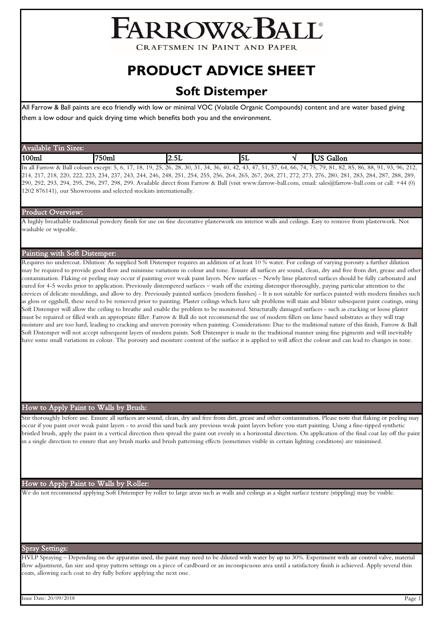# FARROW& BALL®

**CRAFTSMEN IN PAINT AND PAPER** 

## **PRODUCT ADVICE SHEET**

### **Soft Distemper**

All Farrow & Ball paints are eco friendly with low or minimal VOC (Volatile Organic Compounds) content and are water based giving

them a low odour and quick drying time which benefits both you and the environment.

| Av<br><b>Allen St</b><br><b>COLOR</b><br>$^{\prime}$ 10<br>Sizes:<br>lable |       |                                                                                                                                                                                                                                                                                                                                                                                      |                                          |               |
|----------------------------------------------------------------------------|-------|--------------------------------------------------------------------------------------------------------------------------------------------------------------------------------------------------------------------------------------------------------------------------------------------------------------------------------------------------------------------------------------|------------------------------------------|---------------|
| 100m                                                                       | "750m | .<br>הו<br>-<br>14.JL                                                                                                                                                                                                                                                                                                                                                                | $-$<br>IЫ                                | Gallon<br>יטא |
| 11.77<br>$\sim$ $\sim$ $\sim$ $\sim$ $\sim$<br>. .                         | $-$   | $\overline{1}$ $\overline{1}$ $\overline{1}$ $\overline{1}$ $\overline{1}$ $\overline{1}$ $\overline{1}$ $\overline{1}$ $\overline{1}$ $\overline{1}$ $\overline{1}$ $\overline{1}$ $\overline{1}$ $\overline{1}$ $\overline{1}$ $\overline{1}$ $\overline{1}$ $\overline{1}$ $\overline{1}$ $\overline{1}$ $\overline{1}$ $\overline{1}$ $\overline{1}$ $\overline{1}$ $\overline{$ | $ -$<br>$\overline{\phantom{a}}$<br>$-1$ |               |

In all Farrow & Ball colours except: 5, 6, 17, 18, 19, 25, 26, 28, 30, 31, 34, 36, 40, 42, 43, 47, 51, 57, 64, 66, 74, 75, 79, 81, 82, 85, 86, 88, 91, 93, 96, 212, 214, 217, 218, 220, 222, 223, 234, 237, 243, 244, 246, 248, 251, 254, 255, 256, 264, 265, 267, 268, 271, 272, 273, 276, 280, 281, 283, 284, 287, 288, 289, 290, 292, 293, 294, 295, 296, 297, 298, 299. Available direct from Farrow & Ball (visit www.farrow-ball.com, email: sales@farrow-ball.com or call: +44 (0) 1202 876141), our Showrooms and selected stockists internationally.

#### Product Overview:

A highly breathable traditional powdery finish for use on fine decorative plasterwork on interior walls and ceilings. Easy to remove from plasterwork. Not washable or wipeable.

#### Painting with Soft Distemper:

Requires no undercoat. Dilution: As supplied Soft Distemper requires an addition of at least 10 % water. For ceilings of varying porosity a further dilution may be required to provide good flow and minimise variations in colour and tone. Ensure all surfaces are sound, clean, dry and free from dirt, grease and other contamination. Flaking or peeling may occur if painting over weak paint layers. New surfaces – Newly lime plastered surfaces should be fully carbonated and cured for 4-5 weeks prior to application. Previously distempered surfaces – wash off the existing distemper thoroughly, paying particular attention to the crevices of delicate mouldings, and allow to dry. Previously painted surfaces (modern finishes) - It is not suitable for surfaces painted with modern finishes such as gloss or eggshell, these need to be removed prior to painting. Plaster ceilings which have salt problems will stain and blister subsequent paint coatings, using Soft Distemper will allow the ceiling to breathe and enable the problem to be monitored. Structurally damaged surfaces - such as cracking or loose plaster must be repaired or filled with an appropriate filler. Farrow & Ball do not recommend the use of modern fillers on lime based substrates as they will trap moisture and are too hard, leading to cracking and uneven porosity when painting. Considerations: Due to the traditional nature of this finish, Farrow & Ball Soft Distemper will not accept subsequent layers of modern paints. Soft Distemper is made in the traditional manner using fine pigments and will inevitably have some small variations in colour. The porosity and moisture content of the surface it is applied to will affect the colour and can lead to changes in tone.

#### How to Apply Paint to Walls by Brush:

Stir thoroughly before use. Ensure all surfaces are sound, clean, dry and free from dirt, grease and other contamination. Please note that flaking or peeling may occur if you paint over weak paint layers - to avoid this sand back any previous weak paint layers before you start painting. Using a fine-tipped synthetic bristled brush, apply the paint in a vertical direction then spread the paint out evenly in a horizontal direction. On application of the final coat lay off the paint in a single direction to ensure that any brush marks and brush patterning effects (sometimes visible in certain lighting conditions) are minimised.

#### How to Apply Paint to Walls by Roller:

We do not recommend applying Soft Distemper by roller to large areas such as walls and ceilings as a slight surface texture (stippling) may be visible.

#### Spray Settings:

HVLP Spraying – Depending on the apparatus used, the paint may need to be diluted with water by up to 30%. Experiment with air control valve, material flow adjustment, fan size and spray pattern settings on a piece of cardboard or an inconspicuous area until a satisfactory finish is achieved. Apply several thin coats, allowing each coat to dry fully before applying the next one.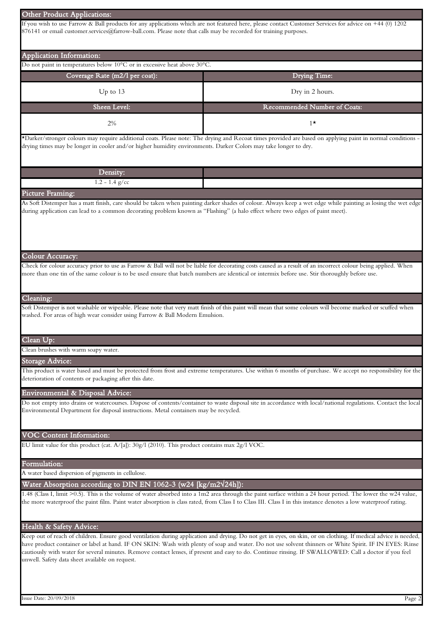| Other Product Applications:                                                                                                                    |                                                                                                                                                                                                                                                                                                                                                                                                                                                                                      |  |  |  |
|------------------------------------------------------------------------------------------------------------------------------------------------|--------------------------------------------------------------------------------------------------------------------------------------------------------------------------------------------------------------------------------------------------------------------------------------------------------------------------------------------------------------------------------------------------------------------------------------------------------------------------------------|--|--|--|
| 876141 or email customer.services@farrow-ball.com. Please note that calls may be recorded for training purposes.                               | If you wish to use Farrow & Ball products for any applications which are not featured here, please contact Customer Services for advice on +44 (0) 1202                                                                                                                                                                                                                                                                                                                              |  |  |  |
| Application Information:                                                                                                                       |                                                                                                                                                                                                                                                                                                                                                                                                                                                                                      |  |  |  |
| Do not paint in temperatures below 10°C or in excessive heat above 30°C.                                                                       |                                                                                                                                                                                                                                                                                                                                                                                                                                                                                      |  |  |  |
| Coverage Rate (m2/l per coat):                                                                                                                 | Drying Time:                                                                                                                                                                                                                                                                                                                                                                                                                                                                         |  |  |  |
| Up to 13                                                                                                                                       | Dry in 2 hours.                                                                                                                                                                                                                                                                                                                                                                                                                                                                      |  |  |  |
| Sheen Level:                                                                                                                                   | Recommended Number of Coats:                                                                                                                                                                                                                                                                                                                                                                                                                                                         |  |  |  |
| 2%                                                                                                                                             | $1^{\star}$                                                                                                                                                                                                                                                                                                                                                                                                                                                                          |  |  |  |
| drying times may be longer in cooler and/or higher humidity environments. Darker Colors may take longer to dry.                                | *Darker/stronger colours may require additional coats. Please note: The drying and Recoat times provided are based on applying paint in normal conditions -                                                                                                                                                                                                                                                                                                                          |  |  |  |
| Density:                                                                                                                                       |                                                                                                                                                                                                                                                                                                                                                                                                                                                                                      |  |  |  |
| $1.2 - 1.4$ g/cc                                                                                                                               |                                                                                                                                                                                                                                                                                                                                                                                                                                                                                      |  |  |  |
| Picture Framing:                                                                                                                               |                                                                                                                                                                                                                                                                                                                                                                                                                                                                                      |  |  |  |
| during application can lead to a common decorating problem known as "Flashing" (a halo effect where two edges of paint meet).                  | As Soft Distemper has a matt finish, care should be taken when painting darker shades of colour. Always keep a wet edge while painting as losing the wet edge                                                                                                                                                                                                                                                                                                                        |  |  |  |
| Colour Accuracy:                                                                                                                               |                                                                                                                                                                                                                                                                                                                                                                                                                                                                                      |  |  |  |
| more than one tin of the same colour is to be used ensure that batch numbers are identical or intermix before use. Stir thoroughly before use. | Check for colour accuracy prior to use as Farrow & Ball will not be liable for decorating costs caused as a result of an incorrect colour being applied. When                                                                                                                                                                                                                                                                                                                        |  |  |  |
| Cleaning:                                                                                                                                      |                                                                                                                                                                                                                                                                                                                                                                                                                                                                                      |  |  |  |
| washed. For areas of high wear consider using Farrow & Ball Modern Emulsion.                                                                   | Soft Distemper is not washable or wipeable. Please note that very matt finish of this paint will mean that some colours will become marked or scuffed when                                                                                                                                                                                                                                                                                                                           |  |  |  |
| Clean Up:                                                                                                                                      |                                                                                                                                                                                                                                                                                                                                                                                                                                                                                      |  |  |  |
| Clean brushes with warm soapy water.                                                                                                           |                                                                                                                                                                                                                                                                                                                                                                                                                                                                                      |  |  |  |
| Storage Advice:                                                                                                                                |                                                                                                                                                                                                                                                                                                                                                                                                                                                                                      |  |  |  |
| deterioration of contents or packaging after this date.                                                                                        | This product is water based and must be protected from frost and extreme temperatures. Use within 6 months of purchase. We accept no responsibility for the                                                                                                                                                                                                                                                                                                                          |  |  |  |
| Environmental & Disposal Advice:                                                                                                               |                                                                                                                                                                                                                                                                                                                                                                                                                                                                                      |  |  |  |
| Environmental Department for disposal instructions. Metal containers may be recycled.                                                          | Do not empty into drains or watercourses. Dispose of contents/container to waste disposal site in accordance with local/national regulations. Contact the local                                                                                                                                                                                                                                                                                                                      |  |  |  |
| <b>VOC Content Information:</b>                                                                                                                |                                                                                                                                                                                                                                                                                                                                                                                                                                                                                      |  |  |  |
| EU limit value for this product (cat. $A/[a]$ ): 30g/1 (2010). This product contains max 2g/1 VOC.                                             |                                                                                                                                                                                                                                                                                                                                                                                                                                                                                      |  |  |  |
| Formulation:                                                                                                                                   |                                                                                                                                                                                                                                                                                                                                                                                                                                                                                      |  |  |  |
| A water based dispersion of pigments in cellulose.                                                                                             |                                                                                                                                                                                                                                                                                                                                                                                                                                                                                      |  |  |  |
| Water Absorption according to DIN EN 1062-3 (w24 $\left[\frac{\text{kg}}{\text{m2}}\right]$ 24h]):                                             |                                                                                                                                                                                                                                                                                                                                                                                                                                                                                      |  |  |  |
|                                                                                                                                                | 1.48 (Class I, limit >0.5). This is the volume of water absorbed into a 1m2 area through the paint surface within a 24 hour period. The lower the w24 value,<br>the more waterproof the paint film. Paint water absorption is class rated, from Class I to Class III. Class I in this instance denotes a low waterproof rating.                                                                                                                                                      |  |  |  |
| Health & Safety Advice:                                                                                                                        |                                                                                                                                                                                                                                                                                                                                                                                                                                                                                      |  |  |  |
| unwell. Safety data sheet available on request.                                                                                                | Keep out of reach of children. Ensure good ventilation during application and drying. Do not get in eyes, on skin, or on clothing. If medical advice is needed,<br>have product container or label at hand. IF ON SKIN: Wash with plenty of soap and water. Do not use solvent thinners or White Spirit. IF IN EYES: Rinse<br>cautiously with water for several minutes. Remove contact lenses, if present and easy to do. Continue rinsing. IF SWALLOWED: Call a doctor if you feel |  |  |  |